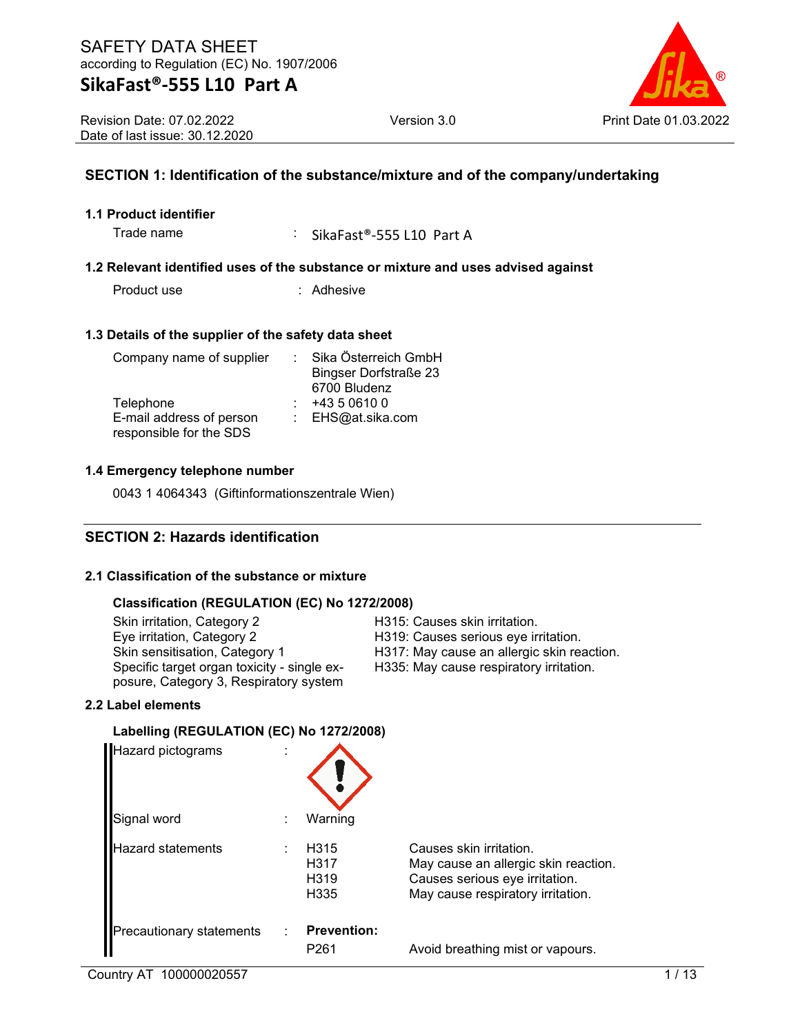Revision Date: 07.02.2022 Date of last issue: 30.12.2020

### **SECTION 1: Identification of the substance/mixture and of the company/undertaking**

### **1.1 Product identifier**

Trade name : SikaFast®-555 L10 Part A

### **1.2 Relevant identified uses of the substance or mixture and uses advised against**

Product use : Adhesive

### **1.3 Details of the supplier of the safety data sheet**

| Company name of supplier | Sika Österreich GmbH         |
|--------------------------|------------------------------|
|                          | <b>Bingser Dorfstraße 23</b> |
|                          | 6700 Bludenz                 |
| Telephone                | +43 5 0610 0                 |
| E-mail address of person | : EHS@at.sika.com            |
| responsible for the SDS  |                              |

### **1.4 Emergency telephone number**

0043 1 4064343 (Giftinformationszentrale Wien)

### **SECTION 2: Hazards identification**

### **2.1 Classification of the substance or mixture**

### **Classification (REGULATION (EC) No 1272/2008)**

Skin irritation, Category 2 Fashion Category 2 H315: Causes skin irritation.<br>Eye irritation, Category 2 Fashion H319: Causes serious eye ir Eye irritation, Category 2 Full and H319: Causes serious eye irritation.<br>Skin sensitisation, Category 1 Full and H317: May cause an allergic skin rea Specific target organ toxicity - single exposure, Category 3, Respiratory system

H317: May cause an allergic skin reaction. H335: May cause respiratory irritation.

### **2.2 Label elements**

### **Labelling (REGULATION (EC) No 1272/2008)**

| Hazard pictograms        |                                           |                                                                                                                                        |
|--------------------------|-------------------------------------------|----------------------------------------------------------------------------------------------------------------------------------------|
| Signal word              | Warning                                   |                                                                                                                                        |
| <b>Hazard statements</b> | H315<br>H317<br>H <sub>3</sub> 19<br>H335 | Causes skin irritation.<br>May cause an allergic skin reaction.<br>Causes serious eye irritation.<br>May cause respiratory irritation. |
| Precautionary statements | <b>Prevention:</b><br>P <sub>261</sub>    | Avoid breathing mist or vapours.                                                                                                       |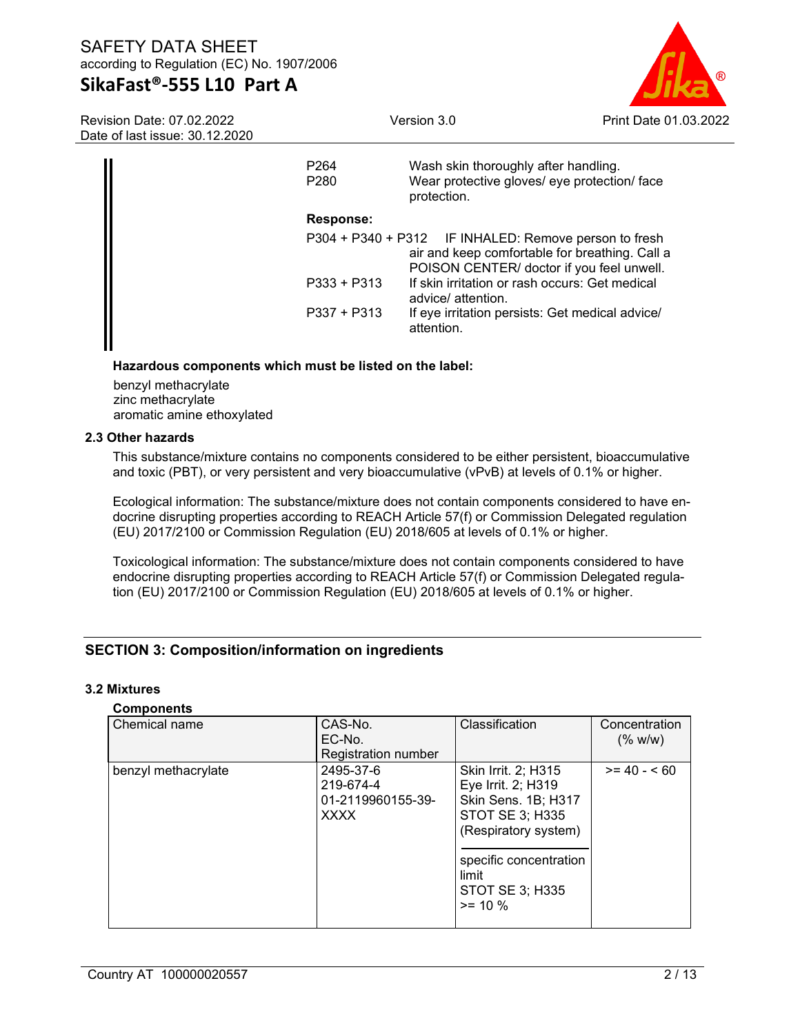### **SikaFast®-555 L10 Part A**

Version 3.0 Print Date 01.03.2022

Revision Date: 07.02.2022 Date of last issue: 30.12.2020

| P <sub>264</sub><br>P <sub>280</sub> | Wash skin thoroughly after handling.<br>Wear protective gloves/ eye protection/ face<br>protection.                                                  |
|--------------------------------------|------------------------------------------------------------------------------------------------------------------------------------------------------|
| <b>Response:</b>                     |                                                                                                                                                      |
|                                      | P304 + P340 + P312 IF INHALED: Remove person to fresh<br>air and keep comfortable for breathing. Call a<br>POISON CENTER/ doctor if you feel unwell. |
| $P333 + P313$                        | If skin irritation or rash occurs: Get medical<br>advice/ attention.                                                                                 |
| $P337 + P313$                        | If eye irritation persists: Get medical advice/<br>attention.                                                                                        |

### **Hazardous components which must be listed on the label:**

benzyl methacrylate zinc methacrylate aromatic amine ethoxylated

### **2.3 Other hazards**

This substance/mixture contains no components considered to be either persistent, bioaccumulative and toxic (PBT), or very persistent and very bioaccumulative (vPvB) at levels of 0.1% or higher.

Ecological information: The substance/mixture does not contain components considered to have endocrine disrupting properties according to REACH Article 57(f) or Commission Delegated regulation (EU) 2017/2100 or Commission Regulation (EU) 2018/605 at levels of 0.1% or higher.

Toxicological information: The substance/mixture does not contain components considered to have endocrine disrupting properties according to REACH Article 57(f) or Commission Delegated regulation (EU) 2017/2100 or Commission Regulation (EU) 2018/605 at levels of 0.1% or higher.

### **SECTION 3: Composition/information on ingredients**

### **3.2 Mixtures**

### **Components**

| Chemical name       | CAS-No.<br>EC-No.                                          | Classification                                                                                                                                                                  | Concentration<br>(% w/w) |
|---------------------|------------------------------------------------------------|---------------------------------------------------------------------------------------------------------------------------------------------------------------------------------|--------------------------|
|                     | Registration number                                        |                                                                                                                                                                                 |                          |
| benzyl methacrylate | 2495-37-6<br>219-674-4<br>01-2119960155-39-<br><b>XXXX</b> | Skin Irrit. 2; H315<br>Eye Irrit. 2; H319<br>Skin Sens. 1B; H317<br>STOT SE 3; H335<br>(Respiratory system)<br>specific concentration<br>limit<br>STOT SE 3; H335<br>$>= 10 \%$ | $>= 40 - 560$            |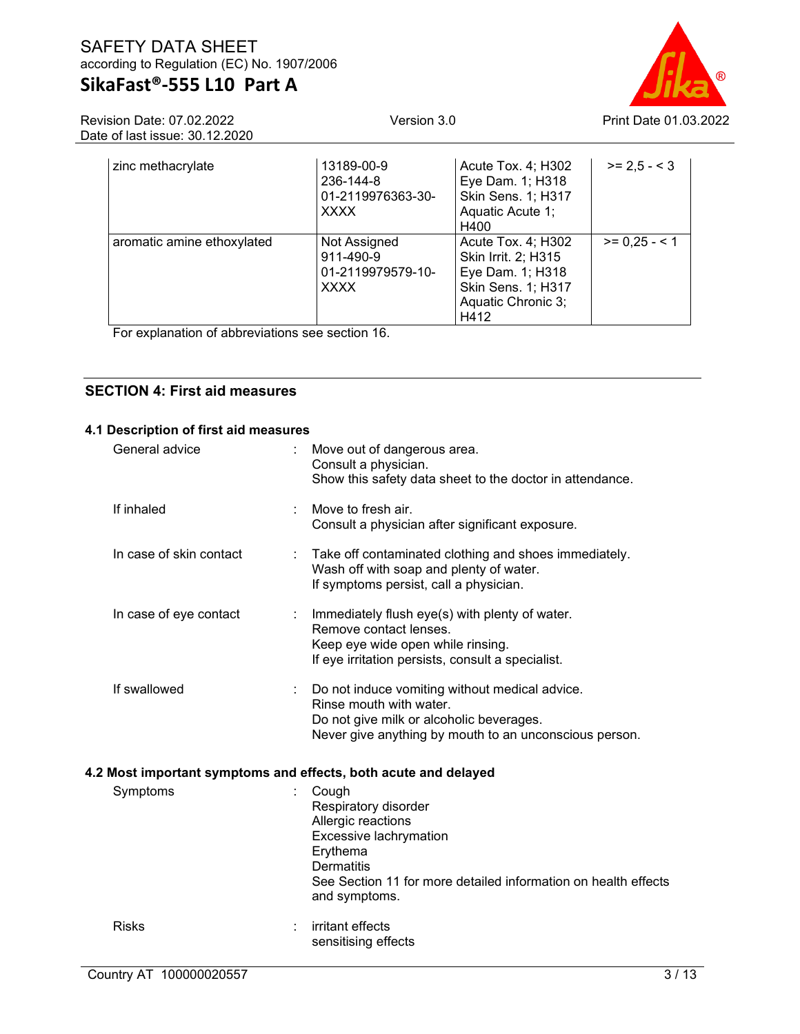Version 3.0 Print Date 01.03.2022

Revision Date: 07.02.2022 Date of last issue: 30.12.2020

| zinc methacrylate          | 13189-00-9<br>236-144-8<br>01-2119976363-30-<br><b>XXXX</b>   | Acute Tox. 4; H302<br>Eye Dam. 1; H318<br><b>Skin Sens. 1; H317</b><br>Aquatic Acute 1;<br>H400                   | $>= 2.5 - 3$  |
|----------------------------|---------------------------------------------------------------|-------------------------------------------------------------------------------------------------------------------|---------------|
| aromatic amine ethoxylated | Not Assigned<br>911-490-9<br>01-2119979579-10-<br><b>XXXX</b> | Acute Tox. 4; H302<br>Skin Irrit. 2; H315<br>Eye Dam. 1; H318<br>Skin Sens. 1; H317<br>Aquatic Chronic 3;<br>H412 | $>= 0.25 - 1$ |

For explanation of abbreviations see section 16.

### **SECTION 4: First aid measures**

| 4.1 Description of first aid measures |                                                                                                                                                                                                   |
|---------------------------------------|---------------------------------------------------------------------------------------------------------------------------------------------------------------------------------------------------|
| General advice<br>÷.                  | Move out of dangerous area.<br>Consult a physician.<br>Show this safety data sheet to the doctor in attendance.                                                                                   |
| If inhaled                            | Move to fresh air.<br>Consult a physician after significant exposure.                                                                                                                             |
| In case of skin contact               | : Take off contaminated clothing and shoes immediately.<br>Wash off with soap and plenty of water.<br>If symptoms persist, call a physician.                                                      |
| In case of eye contact<br>÷           | Immediately flush eye(s) with plenty of water.<br>Remove contact lenses.<br>Keep eye wide open while rinsing.<br>If eye irritation persists, consult a specialist.                                |
| If swallowed                          | Do not induce vomiting without medical advice.<br>Rinse mouth with water.<br>Do not give milk or alcoholic beverages.<br>Never give anything by mouth to an unconscious person.                   |
|                                       | 4.2 Most important symptoms and effects, both acute and delayed                                                                                                                                   |
| Symptoms                              | Cough<br>Respiratory disorder<br>Allergic reactions<br>Excessive lachrymation<br>Erythema<br><b>Dermatitis</b><br>See Section 11 for more detailed information on health effects<br>and symptoms. |
| <b>Risks</b>                          | irritant effects<br>sensitising effects                                                                                                                                                           |
|                                       |                                                                                                                                                                                                   |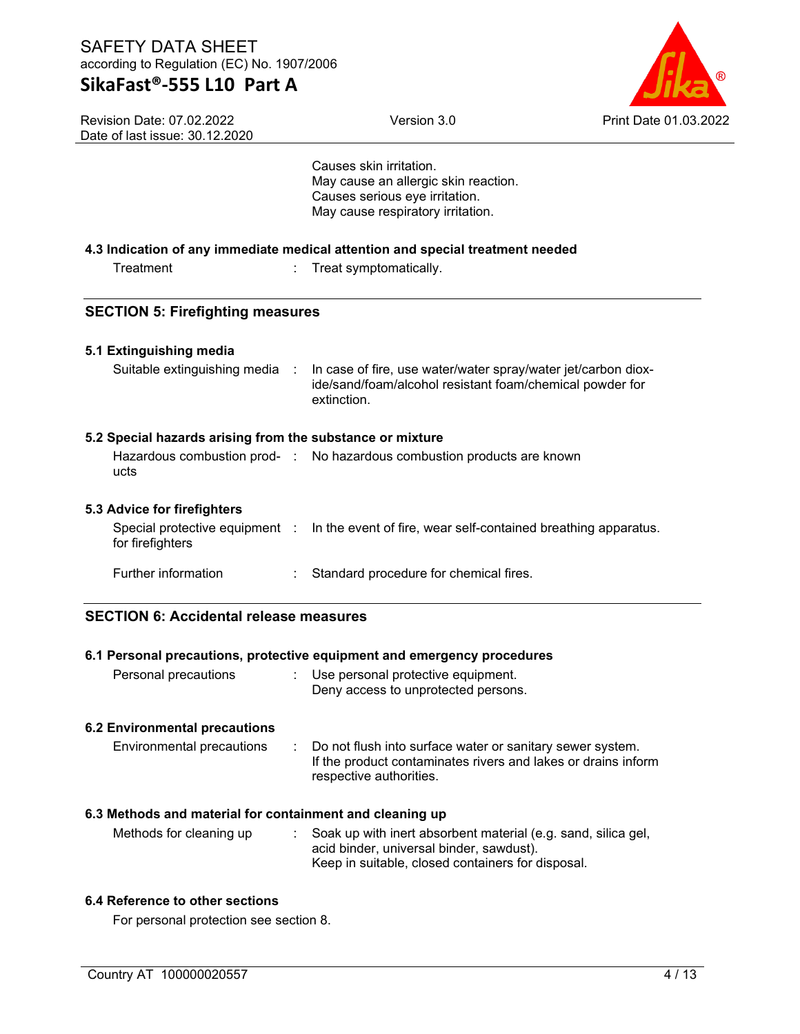Revision Date: 07.02.2022 Date of last issue: 30.12.2020



Causes skin irritation. May cause an allergic skin reaction. Causes serious eye irritation.

|                                                           | May cause respiratory irritation.                                                                                                                              |
|-----------------------------------------------------------|----------------------------------------------------------------------------------------------------------------------------------------------------------------|
|                                                           | 4.3 Indication of any immediate medical attention and special treatment needed                                                                                 |
| Treatment                                                 | Treat symptomatically.<br>÷                                                                                                                                    |
| <b>SECTION 5: Firefighting measures</b>                   |                                                                                                                                                                |
| 5.1 Extinguishing media                                   |                                                                                                                                                                |
| Suitable extinguishing media                              | In case of fire, use water/water spray/water jet/carbon diox-<br>- 1<br>ide/sand/foam/alcohol resistant foam/chemical powder for<br>extinction.                |
| 5.2 Special hazards arising from the substance or mixture |                                                                                                                                                                |
| ucts                                                      | Hazardous combustion prod- : No hazardous combustion products are known                                                                                        |
| 5.3 Advice for firefighters                               |                                                                                                                                                                |
| Special protective equipment :<br>for firefighters        | In the event of fire, wear self-contained breathing apparatus.                                                                                                 |
| Further information                                       | Standard procedure for chemical fires.<br>÷.                                                                                                                   |
| <b>SECTION 6: Accidental release measures</b>             |                                                                                                                                                                |
|                                                           | 6.1 Personal precautions, protective equipment and emergency procedures                                                                                        |
| Personal precautions                                      | Use personal protective equipment.<br>÷<br>Deny access to unprotected persons.                                                                                 |
| <b>6.2 Environmental precautions</b>                      |                                                                                                                                                                |
| <b>Environmental precautions</b>                          | Do not flush into surface water or sanitary sewer system.<br>÷<br>If the product contaminates rivers and lakes or drains inform<br>respective authorities.     |
| 6.3 Methods and material for containment and cleaning up  |                                                                                                                                                                |
| Methods for cleaning up                                   | Soak up with inert absorbent material (e.g. sand, silica gel,<br>acid binder, universal binder, sawdust).<br>Keep in suitable, closed containers for disposal. |
| 6.4 Reference to other sections                           |                                                                                                                                                                |

For personal protection see section 8.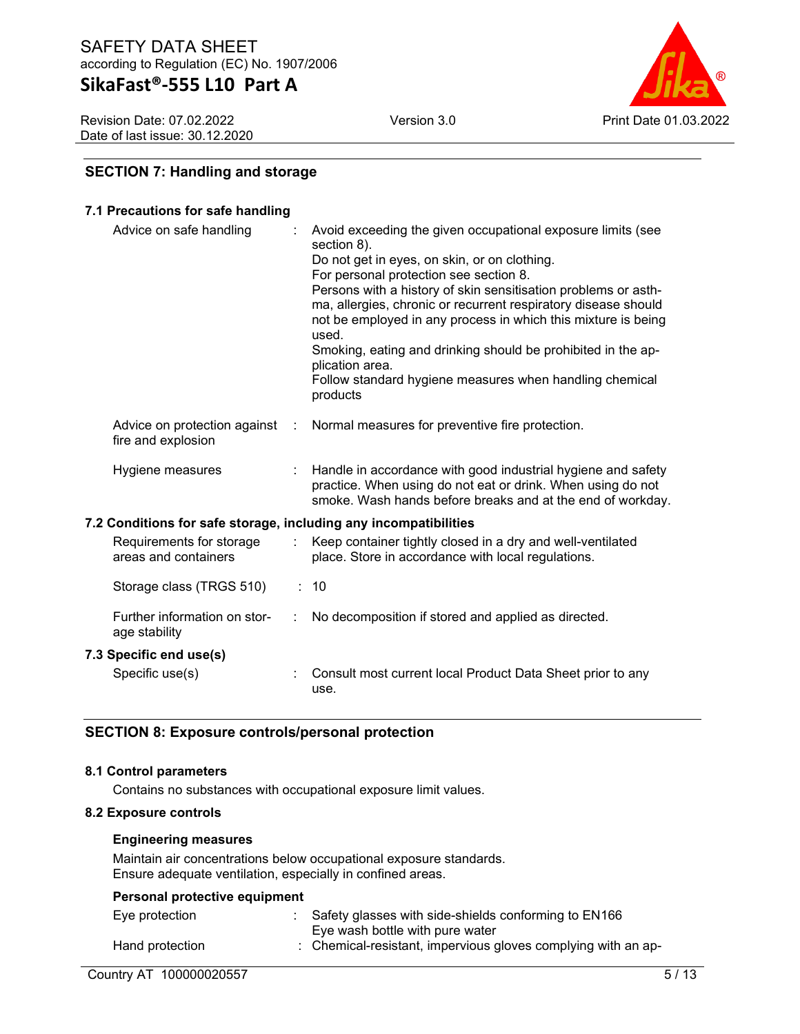Revision Date: 07.02.2022 Date of last issue: 30.12.2020



### **SECTION 7: Handling and storage**

### **7.1 Precautions for safe handling**

| Advice on safe handling                                          |   | Avoid exceeding the given occupational exposure limits (see<br>section 8).<br>Do not get in eyes, on skin, or on clothing.<br>For personal protection see section 8.<br>Persons with a history of skin sensitisation problems or asth-<br>ma, allergies, chronic or recurrent respiratory disease should<br>not be employed in any process in which this mixture is being<br>used.<br>Smoking, eating and drinking should be prohibited in the ap-<br>plication area.<br>Follow standard hygiene measures when handling chemical<br>products |
|------------------------------------------------------------------|---|----------------------------------------------------------------------------------------------------------------------------------------------------------------------------------------------------------------------------------------------------------------------------------------------------------------------------------------------------------------------------------------------------------------------------------------------------------------------------------------------------------------------------------------------|
| Advice on protection against<br>fire and explosion               | ÷ | Normal measures for preventive fire protection.                                                                                                                                                                                                                                                                                                                                                                                                                                                                                              |
| Hygiene measures                                                 |   | Handle in accordance with good industrial hygiene and safety<br>practice. When using do not eat or drink. When using do not<br>smoke. Wash hands before breaks and at the end of workday.                                                                                                                                                                                                                                                                                                                                                    |
| 7.2 Conditions for safe storage, including any incompatibilities |   |                                                                                                                                                                                                                                                                                                                                                                                                                                                                                                                                              |
| Requirements for storage<br>areas and containers                 |   | Keep container tightly closed in a dry and well-ventilated<br>place. Store in accordance with local regulations.                                                                                                                                                                                                                                                                                                                                                                                                                             |
| Storage class (TRGS 510)                                         |   | : 10                                                                                                                                                                                                                                                                                                                                                                                                                                                                                                                                         |
| Further information on stor-<br>age stability                    |   | No decomposition if stored and applied as directed.                                                                                                                                                                                                                                                                                                                                                                                                                                                                                          |

### **7.3 Specific end use(s)**

| Specific use(s) | : Consult most current local Product Data Sheet prior to any |
|-----------------|--------------------------------------------------------------|
|                 | use.                                                         |

### **SECTION 8: Exposure controls/personal protection**

### **8.1 Control parameters**

Contains no substances with occupational exposure limit values.

### **8.2 Exposure controls**

### **Engineering measures**

Maintain air concentrations below occupational exposure standards. Ensure adequate ventilation, especially in confined areas.

| Personal protective equipment |                                                               |
|-------------------------------|---------------------------------------------------------------|
| Eye protection                | Safety glasses with side-shields conforming to EN166          |
|                               | Eye wash bottle with pure water                               |
| Hand protection               | : Chemical-resistant, impervious gloves complying with an ap- |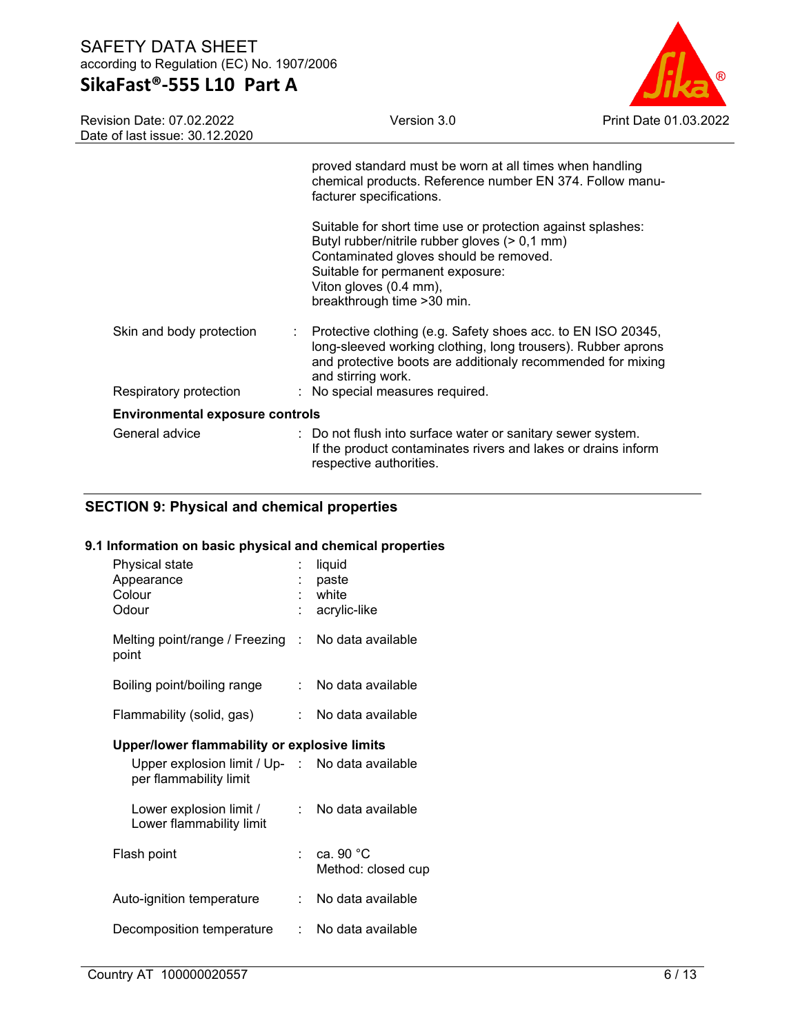# **SikaFast®-555 L10 Part A**

Version 3.0 Print Date 01.03.2022

| <b>Revision Date: 07.02.2022</b> |
|----------------------------------|
| Date of last issue: 30.12.2020   |

|                                        | proved standard must be worn at all times when handling<br>chemical products. Reference number EN 374. Follow manu-<br>facturer specifications.                                                                                                     |  |  |  |
|----------------------------------------|-----------------------------------------------------------------------------------------------------------------------------------------------------------------------------------------------------------------------------------------------------|--|--|--|
|                                        | Suitable for short time use or protection against splashes:<br>Butyl rubber/nitrile rubber gloves (> 0,1 mm)<br>Contaminated gloves should be removed.<br>Suitable for permanent exposure:<br>Viton gloves (0.4 mm),<br>breakthrough time > 30 min. |  |  |  |
| Skin and body protection               | $\therefore$ Protective clothing (e.g. Safety shoes acc. to EN ISO 20345,<br>long-sleeved working clothing, long trousers). Rubber aprons<br>and protective boots are additionaly recommended for mixing<br>and stirring work.                      |  |  |  |
| Respiratory protection                 | : No special measures required.                                                                                                                                                                                                                     |  |  |  |
| <b>Environmental exposure controls</b> |                                                                                                                                                                                                                                                     |  |  |  |
| General advice                         | : Do not flush into surface water or sanitary sewer system.<br>If the product contaminates rivers and lakes or drains inform<br>respective authorities.                                                                                             |  |  |  |

### **SECTION 9: Physical and chemical properties**

### **9.1 Information on basic physical and chemical properties**

|                                              | liquid<br>paste<br>white<br>acrylic-like           |  |  |  |
|----------------------------------------------|----------------------------------------------------|--|--|--|
|                                              | Melting point/range / Freezing : No data available |  |  |  |
|                                              | No data available                                  |  |  |  |
|                                              | : No data available                                |  |  |  |
| Upper/lower flammability or explosive limits |                                                    |  |  |  |
|                                              | Upper explosion limit / Up- : No data available    |  |  |  |
|                                              | No data available                                  |  |  |  |
|                                              | : ca. 90 $^{\circ}$ C<br>Method: closed cup        |  |  |  |
| t.                                           | No data available                                  |  |  |  |
| ÷.                                           | No data available                                  |  |  |  |
|                                              | t in                                               |  |  |  |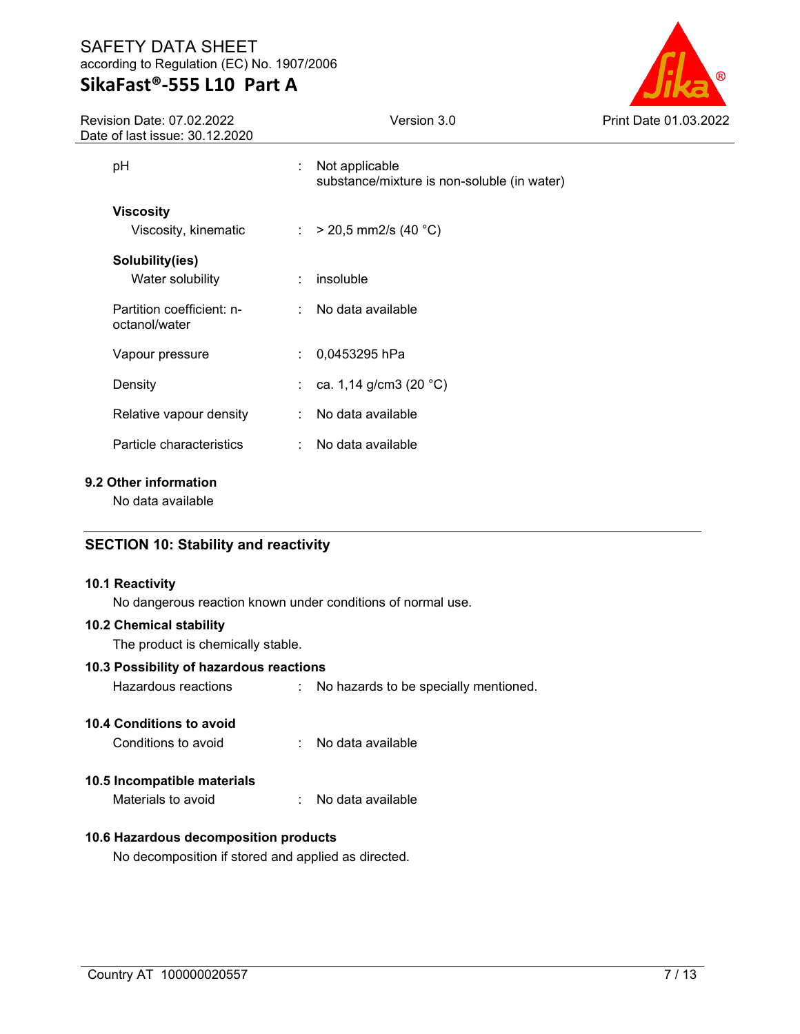Revision Date: 07.02.2022 Date of last issue: 30.12.2020



| e oi last issue. oo. iz.zozo               |                                                                                               |
|--------------------------------------------|-----------------------------------------------------------------------------------------------|
| рH                                         | Not applicable<br>$\mathcal{L}_{\mathrm{max}}$<br>substance/mixture is non-soluble (in water) |
| Viscosity<br>Viscosity, kinematic          | : $> 20.5$ mm2/s (40 °C)                                                                      |
| Solubility(ies)<br>Water solubility        | $:$ insoluble                                                                                 |
| Partition coefficient: n-<br>octanol/water | : No data available                                                                           |
| Vapour pressure                            | 0,0453295 hPa                                                                                 |
| Density                                    | ca. 1,14 g/cm3 (20 $^{\circ}$ C)                                                              |
| Relative vapour density                    | : No data available                                                                           |
| Particle characteristics                   | No data available                                                                             |

### **9.2 Other information**

No data available

### **SECTION 10: Stability and reactivity**

### **10.1 Reactivity**

No dangerous reaction known under conditions of normal use.

### **10.2 Chemical stability**

The product is chemically stable.

### **10.3 Possibility of hazardous reactions**

Hazardous reactions : No hazards to be specially mentioned.

### **10.4 Conditions to avoid**

Conditions to avoid : No data available

### **10.5 Incompatible materials**

Materials to avoid : No data available

### **10.6 Hazardous decomposition products**

No decomposition if stored and applied as directed.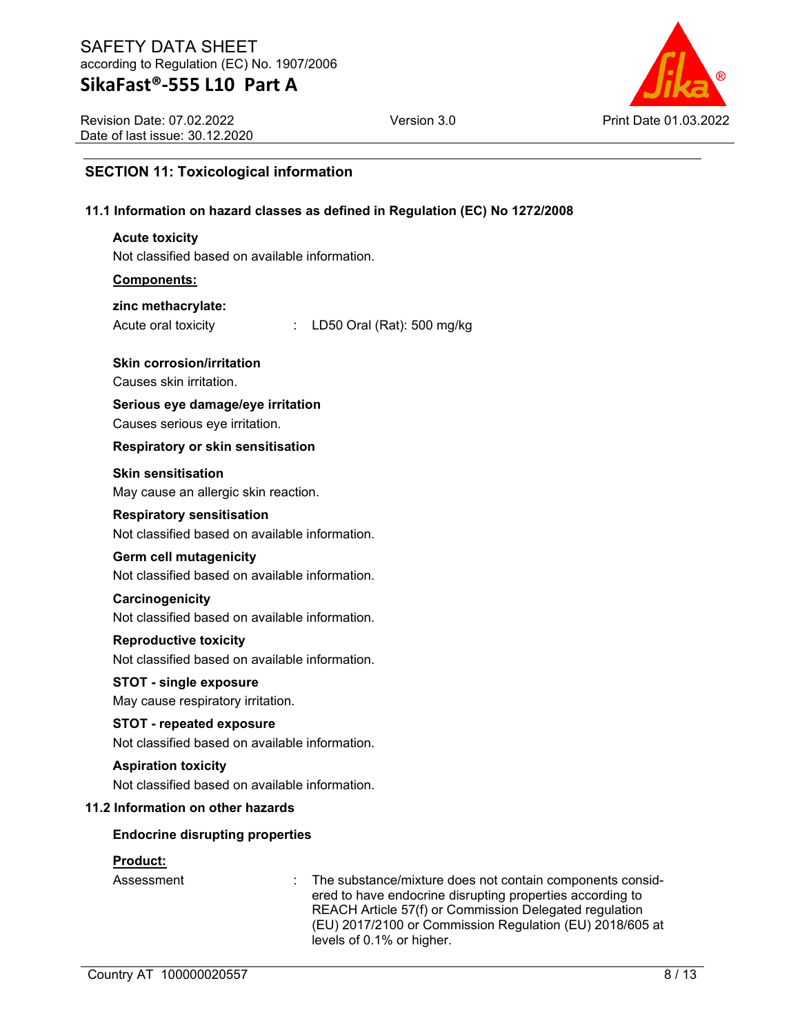### **SikaFast®-555 L10 Part A**

Version 3.0 Print Date 01.03.2022

Revision Date: 07.02.2022 Date of last issue: 30.12.2020

### **SECTION 11: Toxicological information**

### **11.1 Information on hazard classes as defined in Regulation (EC) No 1272/2008**

### **Acute toxicity**

Not classified based on available information.

### **Components:**

### **zinc methacrylate:**

Acute oral toxicity : LD50 Oral (Rat): 500 mg/kg

### **Skin corrosion/irritation**

Causes skin irritation.

### **Serious eye damage/eye irritation**

Causes serious eye irritation.

### **Respiratory or skin sensitisation**

### **Skin sensitisation**

May cause an allergic skin reaction.

### **Respiratory sensitisation**

Not classified based on available information.

### **Germ cell mutagenicity**

Not classified based on available information.

### **Carcinogenicity**

Not classified based on available information.

### **Reproductive toxicity**

Not classified based on available information.

### **STOT - single exposure**

May cause respiratory irritation.

### **STOT - repeated exposure**

Not classified based on available information.

### **Aspiration toxicity**

Not classified based on available information.

### **11.2 Information on other hazards**

### **Endocrine disrupting properties**

### **Product:**

Assessment : The substance/mixture does not contain components considered to have endocrine disrupting properties according to REACH Article 57(f) or Commission Delegated regulation (EU) 2017/2100 or Commission Regulation (EU) 2018/605 at levels of 0.1% or higher.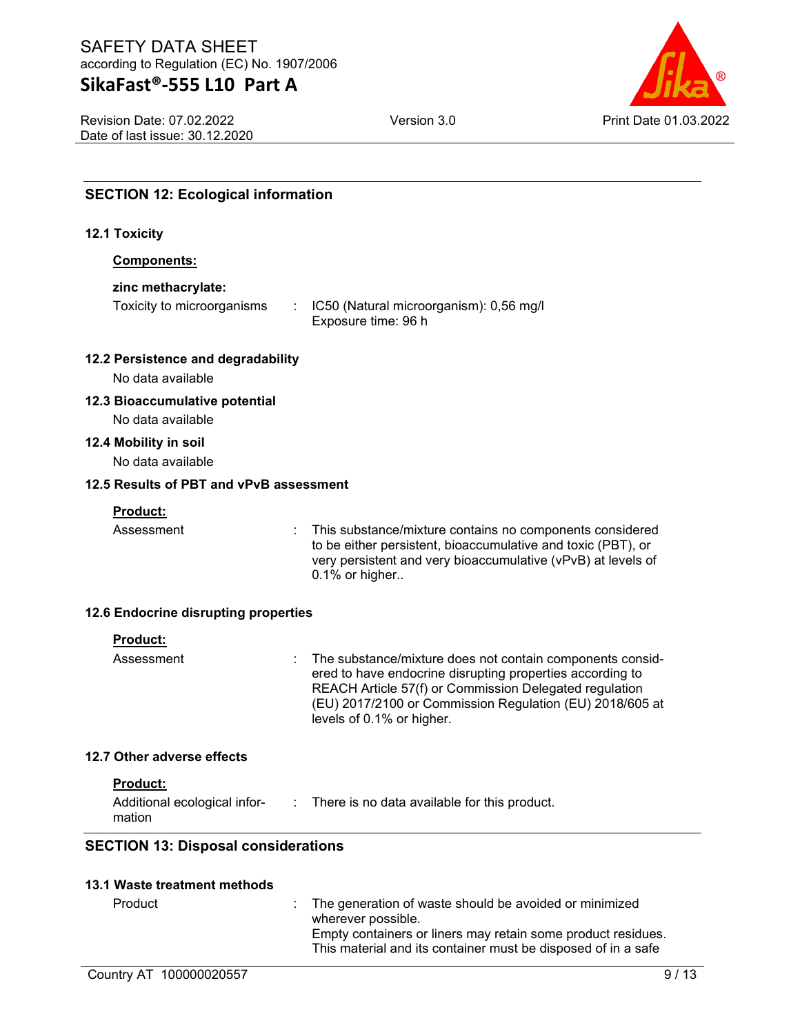# **SikaFast®-555 L10 Part A**

Revision Date: 07.02.2022 Date of last issue: 30.12.2020



| <b>SECTION 12: Ecological information</b>               |                                                                                                                                                                                                                                                                           |
|---------------------------------------------------------|---------------------------------------------------------------------------------------------------------------------------------------------------------------------------------------------------------------------------------------------------------------------------|
| <b>12.1 Toxicity</b>                                    |                                                                                                                                                                                                                                                                           |
| Components:                                             |                                                                                                                                                                                                                                                                           |
| zinc methacrylate:                                      |                                                                                                                                                                                                                                                                           |
| Toxicity to microorganisms                              | IC50 (Natural microorganism): 0,56 mg/l<br>Exposure time: 96 h                                                                                                                                                                                                            |
| 12.2 Persistence and degradability<br>No data available |                                                                                                                                                                                                                                                                           |
| 12.3 Bioaccumulative potential<br>No data available     |                                                                                                                                                                                                                                                                           |
| 12.4 Mobility in soil<br>No data available              |                                                                                                                                                                                                                                                                           |
| 12.5 Results of PBT and vPvB assessment                 |                                                                                                                                                                                                                                                                           |
| Product:                                                |                                                                                                                                                                                                                                                                           |
| Assessment                                              | This substance/mixture contains no components considered<br>to be either persistent, bioaccumulative and toxic (PBT), or<br>very persistent and very bioaccumulative (vPvB) at levels of<br>0.1% or higher                                                                |
| 12.6 Endocrine disrupting properties                    |                                                                                                                                                                                                                                                                           |
| <b>Product:</b>                                         |                                                                                                                                                                                                                                                                           |
| Assessment                                              | The substance/mixture does not contain components consid-<br>ered to have endocrine disrupting properties according to<br>REACH Article 57(f) or Commission Delegated regulation<br>(EU) 2017/2100 or Commission Regulation (EU) 2018/605 at<br>levels of 0.1% or higher. |
| 12.7 Other adverse effects                              |                                                                                                                                                                                                                                                                           |
| Product:<br>mation                                      | Additional ecological infor- : There is no data available for this product.                                                                                                                                                                                               |
| <b>SECTION 13: Disposal considerations</b>              |                                                                                                                                                                                                                                                                           |
| 13.1 Waste treatment methods                            |                                                                                                                                                                                                                                                                           |
| Product                                                 | The generation of waste should be avoided or minimized<br>wherever possible.                                                                                                                                                                                              |

Empty containers or liners may retain some product residues. This material and its container must be disposed of in a safe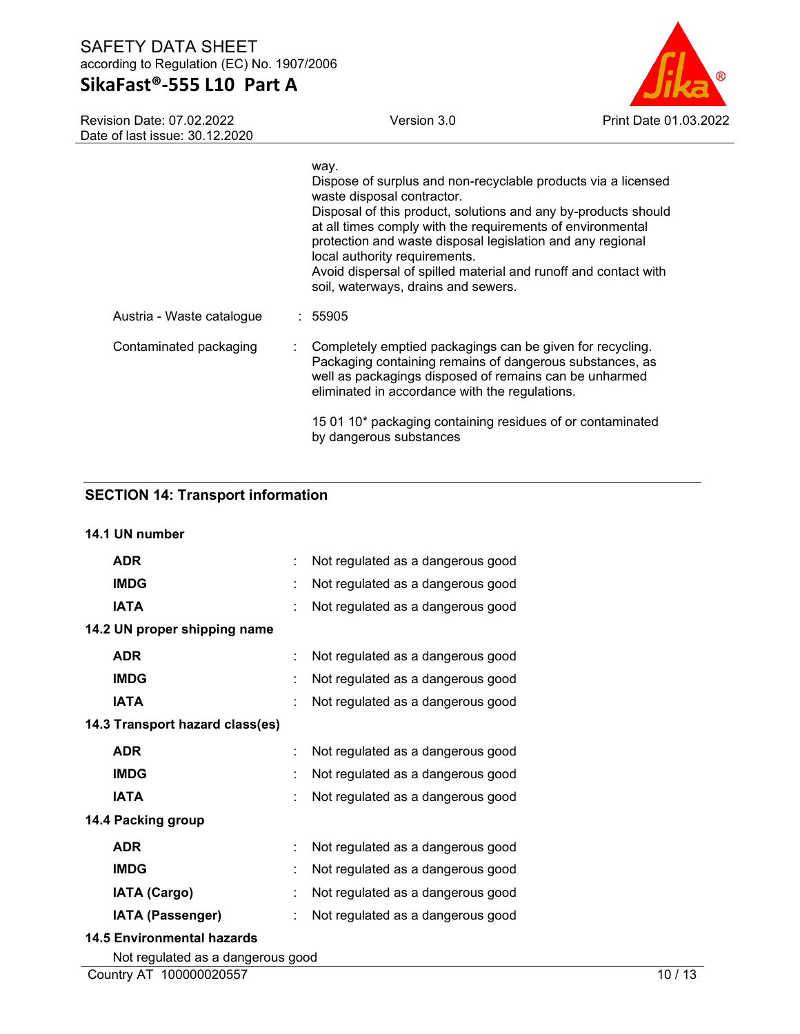# **SikaFast®-555 L10 Part A**

Version 3.0 Print Date 01.03.2022

| <b>Revision Date: 07.02.2022</b><br>Date of last issue: 30.12.2020 | Version 3.0                                                                                                                                                                                                                                                                                                                                                                                                                                  | Print Date 0 |
|--------------------------------------------------------------------|----------------------------------------------------------------------------------------------------------------------------------------------------------------------------------------------------------------------------------------------------------------------------------------------------------------------------------------------------------------------------------------------------------------------------------------------|--------------|
|                                                                    | way.<br>Dispose of surplus and non-recyclable products via a licensed<br>waste disposal contractor.<br>Disposal of this product, solutions and any by-products should<br>at all times comply with the requirements of environmental<br>protection and waste disposal legislation and any regional<br>local authority requirements.<br>Avoid dispersal of spilled material and runoff and contact with<br>soil, waterways, drains and sewers. |              |
| Austria - Waste catalogue                                          | : 55905                                                                                                                                                                                                                                                                                                                                                                                                                                      |              |
| Contaminated packaging                                             | Completely emptied packagings can be given for recycling.<br>Packaging containing remains of dangerous substances, as<br>well as packagings disposed of remains can be unharmed<br>eliminated in accordance with the regulations.                                                                                                                                                                                                            |              |
|                                                                    | 15 01 10* packaging containing residues of or contaminated<br>by dangerous substances                                                                                                                                                                                                                                                                                                                                                        |              |

### **SECTION 14: Transport information**

| 14.1 UN number                    |   |                                   |
|-----------------------------------|---|-----------------------------------|
| <b>ADR</b>                        | ÷ | Not regulated as a dangerous good |
| <b>IMDG</b>                       |   | Not regulated as a dangerous good |
| <b>IATA</b>                       |   | Not regulated as a dangerous good |
| 14.2 UN proper shipping name      |   |                                   |
| <b>ADR</b>                        |   | Not regulated as a dangerous good |
| <b>IMDG</b>                       |   | Not regulated as a dangerous good |
| <b>IATA</b>                       |   | Not regulated as a dangerous good |
| 14.3 Transport hazard class(es)   |   |                                   |
| <b>ADR</b>                        |   | Not regulated as a dangerous good |
| <b>IMDG</b>                       |   | Not regulated as a dangerous good |
| <b>IATA</b>                       |   | Not regulated as a dangerous good |
| 14.4 Packing group                |   |                                   |
| <b>ADR</b>                        |   | Not regulated as a dangerous good |
| <b>IMDG</b>                       |   | Not regulated as a dangerous good |
| <b>IATA (Cargo)</b>               |   | Not regulated as a dangerous good |
| <b>IATA (Passenger)</b>           |   | Not regulated as a dangerous good |
| <b>14.5 Environmental hazards</b> |   |                                   |
| Not rogulated as a departure good |   |                                   |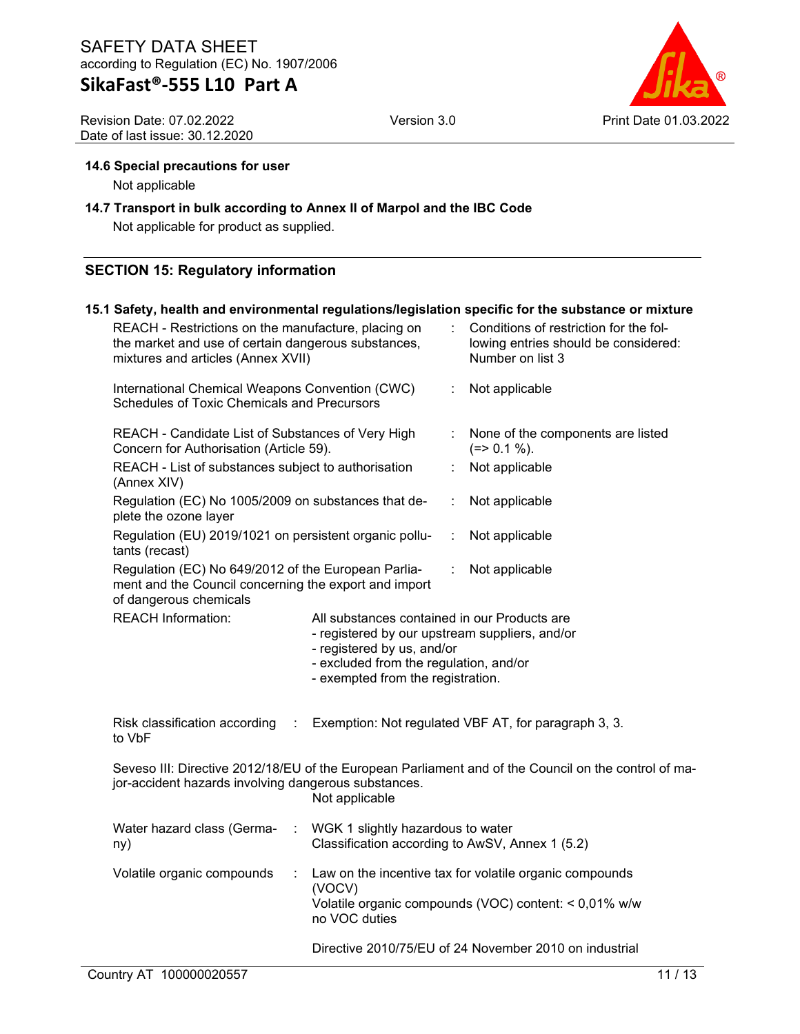Revision Date: 07.02.2022 Date of last issue: 30.12.2020



### **14.6 Special precautions for user**

Not applicable

### **14.7 Transport in bulk according to Annex II of Marpol and the IBC Code**

Not applicable for product as supplied.

### **SECTION 15: Regulatory information**

|                                                                                                                                                  |                                                                                                                                                                                                             |   | 15.1 Safety, health and environmental regulations/legislation specific for the substance or mixture              |
|--------------------------------------------------------------------------------------------------------------------------------------------------|-------------------------------------------------------------------------------------------------------------------------------------------------------------------------------------------------------------|---|------------------------------------------------------------------------------------------------------------------|
| REACH - Restrictions on the manufacture, placing on<br>the market and use of certain dangerous substances,<br>mixtures and articles (Annex XVII) |                                                                                                                                                                                                             |   | Conditions of restriction for the fol-<br>lowing entries should be considered:<br>Number on list 3               |
| International Chemical Weapons Convention (CWC)<br>Schedules of Toxic Chemicals and Precursors                                                   |                                                                                                                                                                                                             | t | Not applicable                                                                                                   |
| REACH - Candidate List of Substances of Very High<br>Concern for Authorisation (Article 59).                                                     |                                                                                                                                                                                                             |   | None of the components are listed<br>$(=>0.1\%).$                                                                |
| REACH - List of substances subject to authorisation<br>(Annex XIV)                                                                               |                                                                                                                                                                                                             | ÷ | Not applicable                                                                                                   |
| Regulation (EC) No 1005/2009 on substances that de-<br>plete the ozone layer                                                                     |                                                                                                                                                                                                             | ÷ | Not applicable                                                                                                   |
| Regulation (EU) 2019/1021 on persistent organic pollu-<br>tants (recast)                                                                         |                                                                                                                                                                                                             | ÷ | Not applicable                                                                                                   |
| Regulation (EC) No 649/2012 of the European Parlia-<br>ment and the Council concerning the export and import<br>of dangerous chemicals           |                                                                                                                                                                                                             | ÷ | Not applicable                                                                                                   |
| <b>REACH Information:</b>                                                                                                                        | All substances contained in our Products are<br>- registered by our upstream suppliers, and/or<br>- registered by us, and/or<br>- excluded from the regulation, and/or<br>- exempted from the registration. |   |                                                                                                                  |
| Risk classification according<br>÷<br>to VbF                                                                                                     |                                                                                                                                                                                                             |   | Exemption: Not regulated VBF AT, for paragraph 3, 3.                                                             |
| jor-accident hazards involving dangerous substances.                                                                                             | Not applicable                                                                                                                                                                                              |   | Seveso III: Directive 2012/18/EU of the European Parliament and of the Council on the control of ma-             |
| Water hazard class (Germa-<br>ny)                                                                                                                | WGK 1 slightly hazardous to water<br>Classification according to AwSV, Annex 1 (5.2)                                                                                                                        |   |                                                                                                                  |
| Volatile organic compounds<br>÷                                                                                                                  | (VOCV)<br>no VOC duties                                                                                                                                                                                     |   | Law on the incentive tax for volatile organic compounds<br>Volatile organic compounds (VOC) content: < 0,01% w/w |
|                                                                                                                                                  |                                                                                                                                                                                                             |   | Directive 2010/75/EU of 24 November 2010 on industrial                                                           |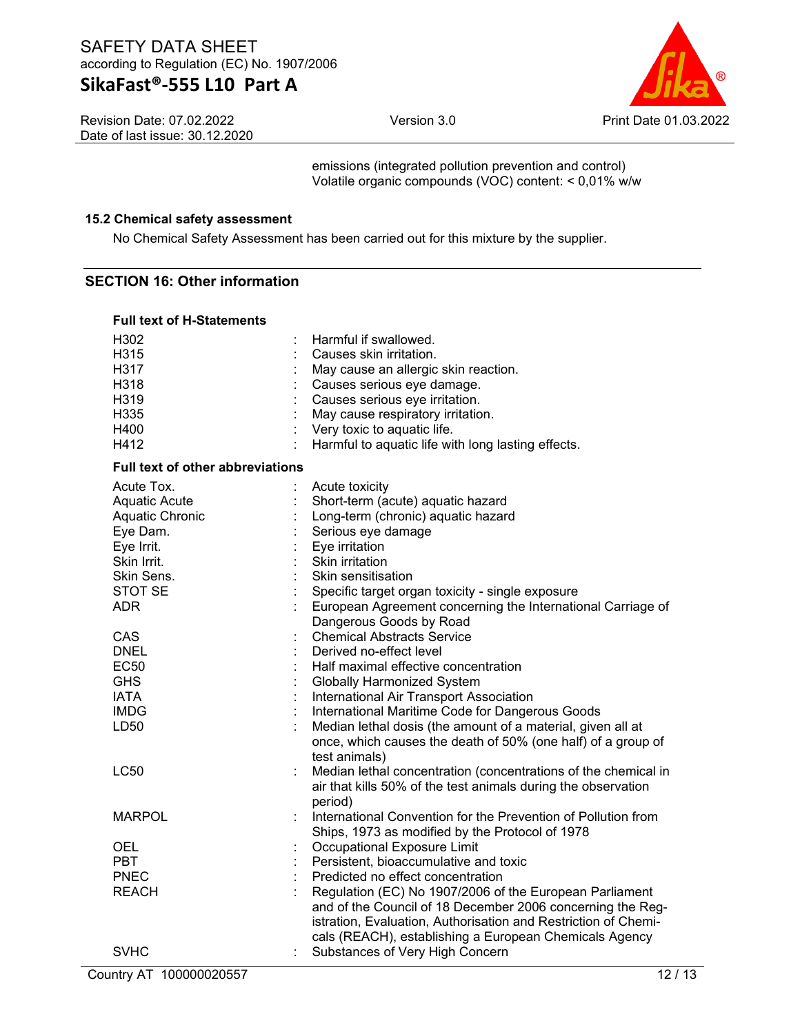Version 3.0 Print Date 01.03.2022

Revision Date: 07.02.2022 Date of last issue: 30.12.2020

emissions (integrated pollution prevention and control) Volatile organic compounds (VOC) content: < 0,01% w/w

### **15.2 Chemical safety assessment**

No Chemical Safety Assessment has been carried out for this mixture by the supplier.

### **SECTION 16: Other information**

### **Full text of H-Statements**

| H302                                    | Harmful if swallowed.                                          |
|-----------------------------------------|----------------------------------------------------------------|
| H315                                    | Causes skin irritation.                                        |
| H317                                    | May cause an allergic skin reaction.                           |
| H318                                    | Causes serious eye damage.                                     |
| H319                                    | Causes serious eye irritation.                                 |
| H335                                    | May cause respiratory irritation.                              |
| H400                                    | Very toxic to aquatic life.                                    |
| H412                                    | Harmful to aquatic life with long lasting effects.             |
| <b>Full text of other abbreviations</b> |                                                                |
| Acute Tox.                              | Acute toxicity                                                 |
| <b>Aquatic Acute</b>                    | Short-term (acute) aquatic hazard                              |
| Aquatic Chronic                         | Long-term (chronic) aquatic hazard                             |
| Eye Dam.                                | Serious eye damage                                             |
| Eye Irrit.                              | Eye irritation                                                 |
| Skin Irrit.                             | Skin irritation                                                |
| Skin Sens.                              | Skin sensitisation                                             |
| STOT SE                                 | Specific target organ toxicity - single exposure               |
| <b>ADR</b>                              | European Agreement concerning the International Carriage of    |
|                                         | Dangerous Goods by Road                                        |
| CAS                                     | <b>Chemical Abstracts Service</b>                              |
| <b>DNEL</b>                             | Derived no-effect level                                        |
| <b>EC50</b>                             | Half maximal effective concentration                           |
| <b>GHS</b>                              | <b>Globally Harmonized System</b>                              |
| <b>IATA</b>                             | International Air Transport Association                        |
| <b>IMDG</b>                             | International Maritime Code for Dangerous Goods                |
| LD50                                    | Median lethal dosis (the amount of a material, given all at    |
|                                         | once, which causes the death of 50% (one half) of a group of   |
|                                         | test animals)                                                  |
| <b>LC50</b>                             | Median lethal concentration (concentrations of the chemical in |
|                                         | air that kills 50% of the test animals during the observation  |
|                                         | period)                                                        |
| <b>MARPOL</b>                           | International Convention for the Prevention of Pollution from  |
|                                         | Ships, 1973 as modified by the Protocol of 1978                |
| <b>OEL</b>                              | Occupational Exposure Limit                                    |
| <b>PBT</b>                              | Persistent, bioaccumulative and toxic                          |
| <b>PNEC</b>                             | Predicted no effect concentration                              |
| <b>REACH</b>                            | Regulation (EC) No 1907/2006 of the European Parliament        |
|                                         | and of the Council of 18 December 2006 concerning the Reg-     |
|                                         | istration, Evaluation, Authorisation and Restriction of Chemi- |
|                                         | cals (REACH), establishing a European Chemicals Agency         |
| <b>SVHC</b>                             | Substances of Very High Concern                                |
| Country AT 100000020557                 | 12/13                                                          |
|                                         |                                                                |